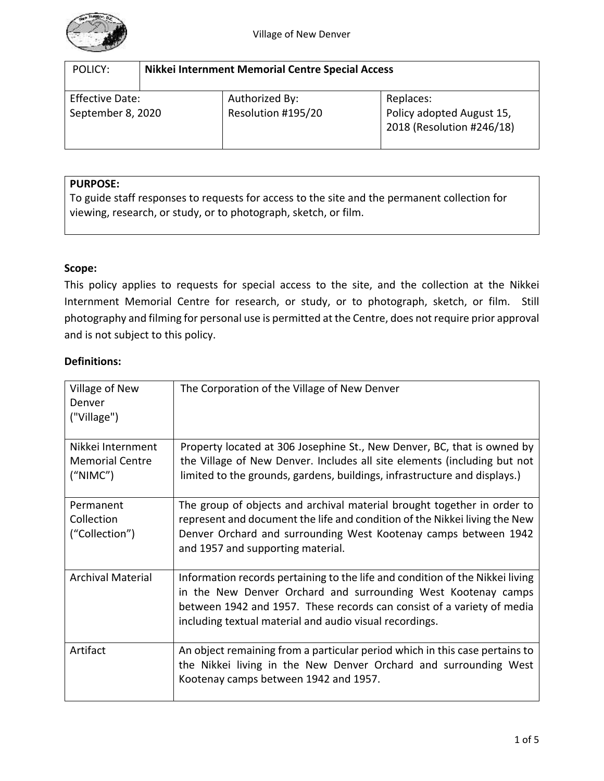

| POLICY:                                     | Nikkei Internment Memorial Centre Special Access |                                      |                                                                     |  |  |
|---------------------------------------------|--------------------------------------------------|--------------------------------------|---------------------------------------------------------------------|--|--|
| <b>Effective Date:</b><br>September 8, 2020 |                                                  | Authorized By:<br>Resolution #195/20 | Replaces:<br>Policy adopted August 15,<br>2018 (Resolution #246/18) |  |  |

## **PURPOSE:**

To guide staff responses to requests for access to the site and the permanent collection for viewing, research, or study, or to photograph, sketch, or film.

# **Scope:**

This policy applies to requests for special access to the site, and the collection at the Nikkei Internment Memorial Centre for research, or study, or to photograph, sketch, or film. Still photography and filming for personal use is permitted at the Centre, does not require prior approval and is not subject to this policy.

## **Definitions:**

| Village of New<br>Denver<br>("Village")                  | The Corporation of the Village of New Denver                                                                                                                                                                                                                                        |
|----------------------------------------------------------|-------------------------------------------------------------------------------------------------------------------------------------------------------------------------------------------------------------------------------------------------------------------------------------|
| Nikkei Internment<br><b>Memorial Centre</b><br>(''NIMC") | Property located at 306 Josephine St., New Denver, BC, that is owned by<br>the Village of New Denver. Includes all site elements (including but not<br>limited to the grounds, gardens, buildings, infrastructure and displays.)                                                    |
| Permanent<br>Collection<br>("Collection")                | The group of objects and archival material brought together in order to<br>represent and document the life and condition of the Nikkei living the New<br>Denver Orchard and surrounding West Kootenay camps between 1942<br>and 1957 and supporting material.                       |
| <b>Archival Material</b>                                 | Information records pertaining to the life and condition of the Nikkei living<br>in the New Denver Orchard and surrounding West Kootenay camps<br>between 1942 and 1957. These records can consist of a variety of media<br>including textual material and audio visual recordings. |
| Artifact                                                 | An object remaining from a particular period which in this case pertains to<br>the Nikkei living in the New Denver Orchard and surrounding West<br>Kootenay camps between 1942 and 1957.                                                                                            |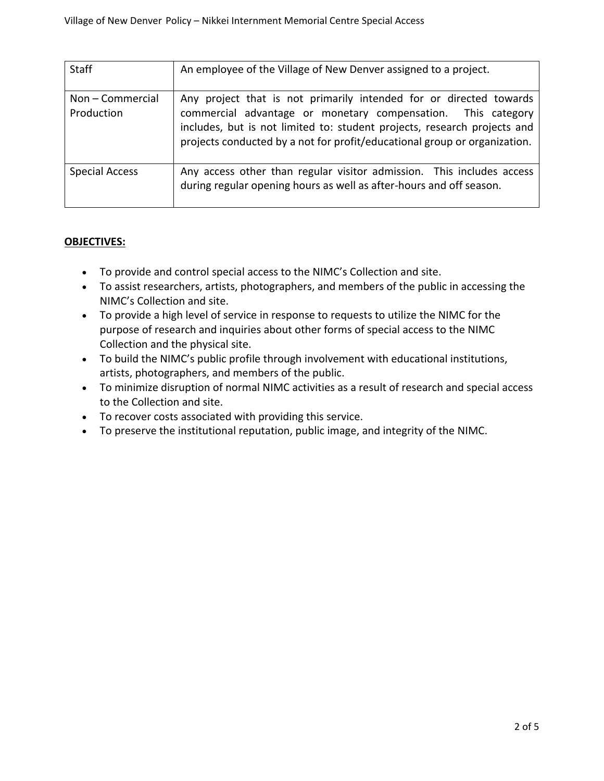| <b>Staff</b>                   | An employee of the Village of New Denver assigned to a project.                                                                                                                                                                                                                             |
|--------------------------------|---------------------------------------------------------------------------------------------------------------------------------------------------------------------------------------------------------------------------------------------------------------------------------------------|
| Non - Commercial<br>Production | Any project that is not primarily intended for or directed towards<br>commercial advantage or monetary compensation. This category<br>includes, but is not limited to: student projects, research projects and<br>projects conducted by a not for profit/educational group or organization. |
| <b>Special Access</b>          | Any access other than regular visitor admission. This includes access<br>during regular opening hours as well as after-hours and off season.                                                                                                                                                |

# **OBJECTIVES:**

- To provide and control special access to the NIMC's Collection and site.
- To assist researchers, artists, photographers, and members of the public in accessing the NIMC's Collection and site.
- To provide a high level of service in response to requests to utilize the NIMC for the purpose of research and inquiries about other forms of special access to the NIMC Collection and the physical site.
- To build the NIMC's public profile through involvement with educational institutions, artists, photographers, and members of the public.
- To minimize disruption of normal NIMC activities as a result of research and special access to the Collection and site.
- To recover costs associated with providing this service.
- To preserve the institutional reputation, public image, and integrity of the NIMC.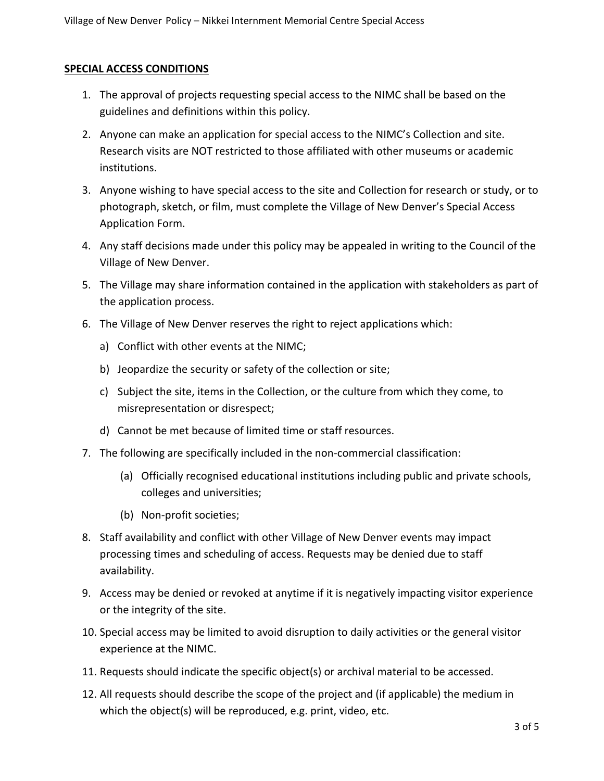# **SPECIAL ACCESS CONDITIONS**

- 1. The approval of projects requesting special access to the NIMC shall be based on the guidelines and definitions within this policy.
- 2. Anyone can make an application for special access to the NIMC's Collection and site. Research visits are NOT restricted to those affiliated with other museums or academic institutions.
- 3. Anyone wishing to have special access to the site and Collection for research or study, or to photograph, sketch, or film, must complete the Village of New Denver's Special Access Application Form.
- 4. Any staff decisions made under this policy may be appealed in writing to the Council of the Village of New Denver.
- 5. The Village may share information contained in the application with stakeholders as part of the application process.
- 6. The Village of New Denver reserves the right to reject applications which:
	- a) Conflict with other events at the NIMC;
	- b) Jeopardize the security or safety of the collection or site;
	- c) Subject the site, items in the Collection, or the culture from which they come, to misrepresentation or disrespect;
	- d) Cannot be met because of limited time or staff resources.
- 7. The following are specifically included in the non-commercial classification:
	- (a) Officially recognised educational institutions including public and private schools, colleges and universities;
	- (b) Non-profit societies;
- 8. Staff availability and conflict with other Village of New Denver events may impact processing times and scheduling of access. Requests may be denied due to staff availability.
- 9. Access may be denied or revoked at anytime if it is negatively impacting visitor experience or the integrity of the site.
- 10. Special access may be limited to avoid disruption to daily activities or the general visitor experience at the NIMC.
- 11. Requests should indicate the specific object(s) or archival material to be accessed.
- 12. All requests should describe the scope of the project and (if applicable) the medium in which the object(s) will be reproduced, e.g. print, video, etc.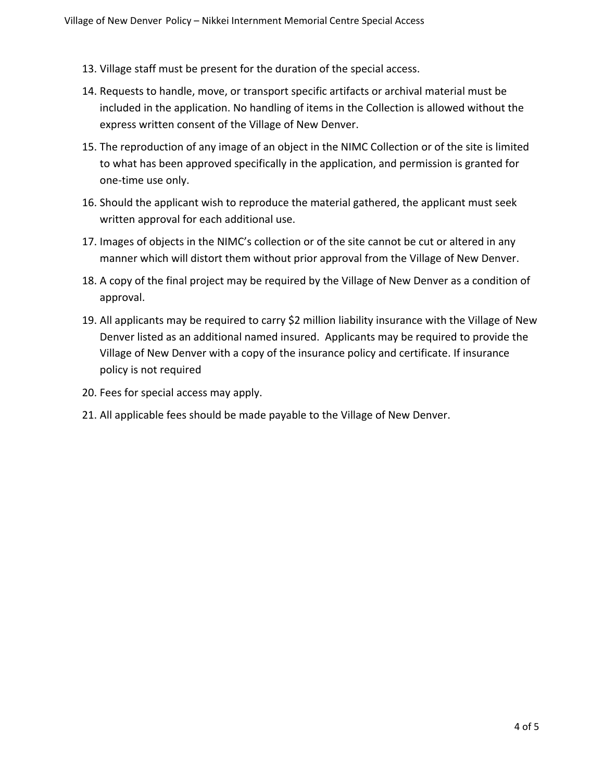- 13. Village staff must be present for the duration of the special access.
- 14. Requests to handle, move, or transport specific artifacts or archival material must be included in the application. No handling of items in the Collection is allowed without the express written consent of the Village of New Denver.
- 15. The reproduction of any image of an object in the NIMC Collection or of the site is limited to what has been approved specifically in the application, and permission is granted for one-time use only.
- 16. Should the applicant wish to reproduce the material gathered, the applicant must seek written approval for each additional use.
- 17. Images of objects in the NIMC's collection or of the site cannot be cut or altered in any manner which will distort them without prior approval from the Village of New Denver.
- 18. A copy of the final project may be required by the Village of New Denver as a condition of approval.
- 19. All applicants may be required to carry \$2 million liability insurance with the Village of New Denver listed as an additional named insured. Applicants may be required to provide the Village of New Denver with a copy of the insurance policy and certificate. If insurance policy is not required
- 20. Fees for special access may apply.
- 21. All applicable fees should be made payable to the Village of New Denver.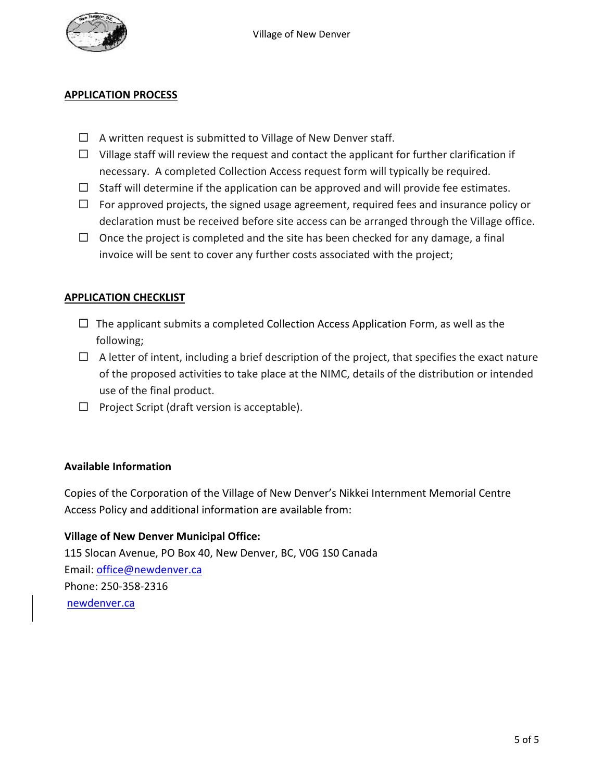

#### **APPLICATION PROCESS**

- $\Box$  A written request is submitted to Village of New Denver staff.
- $\Box$  Village staff will review the request and contact the applicant for further clarification if necessary. A completed Collection Access request form will typically be required.
- $\Box$  Staff will determine if the application can be approved and will provide fee estimates.
- $\Box$  For approved projects, the signed usage agreement, required fees and insurance policy or declaration must be received before site access can be arranged through the Village office.
- $\Box$  Once the project is completed and the site has been checked for any damage, a final invoice will be sent to cover any further costs associated with the project;

# **APPLICATION CHECKLIST**

- $\Box$  The applicant submits a completed Collection Access Application Form, as well as the following;
- $\Box$  A letter of intent, including a brief description of the project, that specifies the exact nature of the proposed activities to take place at the NIMC, details of the distribution or intended use of the final product.
- $\Box$  Project Script (draft version is acceptable).

## **Available Information**

Copies of the Corporation of the Village of New Denver's Nikkei Internment Memorial Centre Access Policy and additional information are available from:

## **Village of New Denver Municipal Office:**

115 Slocan Avenue, PO Box 40, New Denver, BC, V0G 1S0 Canada Email: [office@newdenver.ca](mailto:office@newdenver.ca) Phone: 250-358-2316 [newdenver.ca](mailto:conference.mcmaster.ca)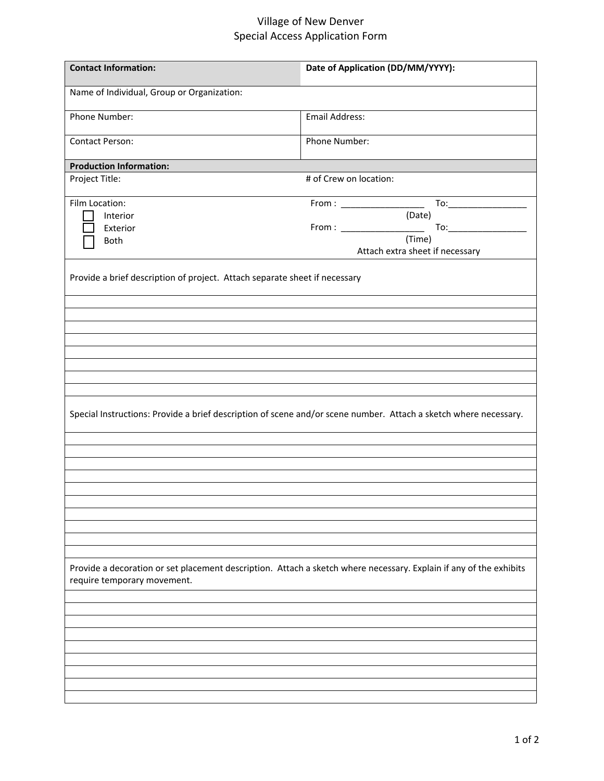# Village of New Denver Special Access Application Form

| <b>Contact Information:</b>                                                                                                                       | Date of Application (DD/MM/YYYY): |  |  |  |
|---------------------------------------------------------------------------------------------------------------------------------------------------|-----------------------------------|--|--|--|
| Name of Individual, Group or Organization:                                                                                                        |                                   |  |  |  |
| Phone Number:                                                                                                                                     | <b>Email Address:</b>             |  |  |  |
| <b>Contact Person:</b>                                                                                                                            | Phone Number:                     |  |  |  |
| <b>Production Information:</b>                                                                                                                    |                                   |  |  |  |
| Project Title:                                                                                                                                    | # of Crew on location:            |  |  |  |
|                                                                                                                                                   |                                   |  |  |  |
| Film Location:                                                                                                                                    |                                   |  |  |  |
| Interior                                                                                                                                          | (Date)                            |  |  |  |
| Exterior                                                                                                                                          | $From: ____________$              |  |  |  |
| Both                                                                                                                                              | (Time)                            |  |  |  |
|                                                                                                                                                   | Attach extra sheet if necessary   |  |  |  |
| Provide a brief description of project. Attach separate sheet if necessary                                                                        |                                   |  |  |  |
|                                                                                                                                                   |                                   |  |  |  |
|                                                                                                                                                   |                                   |  |  |  |
|                                                                                                                                                   |                                   |  |  |  |
|                                                                                                                                                   |                                   |  |  |  |
|                                                                                                                                                   |                                   |  |  |  |
|                                                                                                                                                   |                                   |  |  |  |
| Special Instructions: Provide a brief description of scene and/or scene number. Attach a sketch where necessary.                                  |                                   |  |  |  |
|                                                                                                                                                   |                                   |  |  |  |
|                                                                                                                                                   |                                   |  |  |  |
|                                                                                                                                                   |                                   |  |  |  |
|                                                                                                                                                   |                                   |  |  |  |
|                                                                                                                                                   |                                   |  |  |  |
|                                                                                                                                                   |                                   |  |  |  |
|                                                                                                                                                   |                                   |  |  |  |
|                                                                                                                                                   |                                   |  |  |  |
| Provide a decoration or set placement description. Attach a sketch where necessary. Explain if any of the exhibits<br>require temporary movement. |                                   |  |  |  |
|                                                                                                                                                   |                                   |  |  |  |
|                                                                                                                                                   |                                   |  |  |  |
|                                                                                                                                                   |                                   |  |  |  |
|                                                                                                                                                   |                                   |  |  |  |
|                                                                                                                                                   |                                   |  |  |  |
|                                                                                                                                                   |                                   |  |  |  |
|                                                                                                                                                   |                                   |  |  |  |
|                                                                                                                                                   |                                   |  |  |  |
|                                                                                                                                                   |                                   |  |  |  |